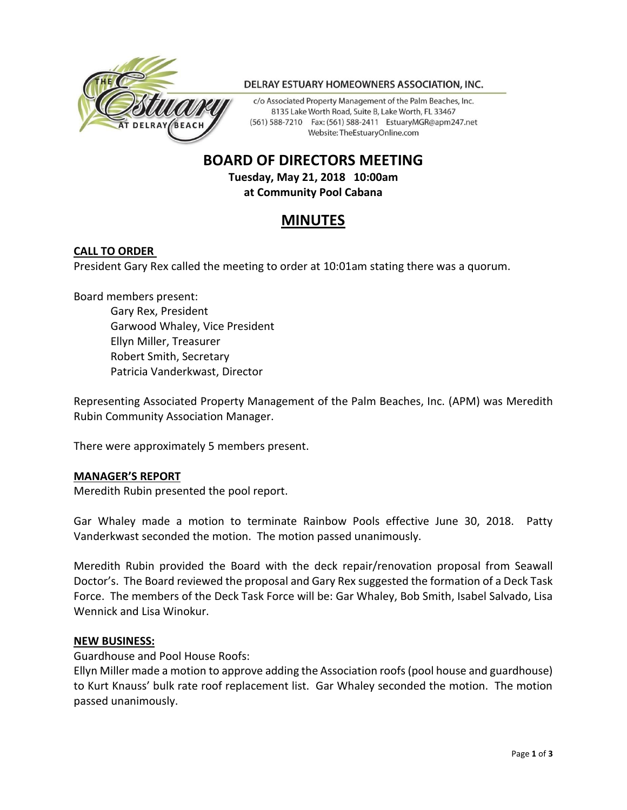

#### DELRAY ESTUARY HOMEOWNERS ASSOCIATION, INC.

c/o Associated Property Management of the Palm Beaches, Inc. 8135 Lake Worth Road, Suite B, Lake Worth, FL 33467 (561) 588-7210 Fax: (561) 588-2411 EstuaryMGR@apm247.net Website: TheEstuaryOnline.com

# **BOARD OF DIRECTORS MEETING**

**Tuesday, May 21, 2018 10:00am at Community Pool Cabana**

# **MINUTES**

#### **CALL TO ORDER**

President Gary Rex called the meeting to order at 10:01am stating there was a quorum.

Board members present:

Gary Rex, President Garwood Whaley, Vice President Ellyn Miller, Treasurer Robert Smith, Secretary Patricia Vanderkwast, Director

Representing Associated Property Management of the Palm Beaches, Inc. (APM) was Meredith Rubin Community Association Manager.

There were approximately 5 members present.

#### **MANAGER'S REPORT**

Meredith Rubin presented the pool report.

Gar Whaley made a motion to terminate Rainbow Pools effective June 30, 2018. Patty Vanderkwast seconded the motion. The motion passed unanimously.

Meredith Rubin provided the Board with the deck repair/renovation proposal from Seawall Doctor's. The Board reviewed the proposal and Gary Rex suggested the formation of a Deck Task Force. The members of the Deck Task Force will be: Gar Whaley, Bob Smith, Isabel Salvado, Lisa Wennick and Lisa Winokur.

#### **NEW BUSINESS:**

Guardhouse and Pool House Roofs:

Ellyn Miller made a motion to approve adding the Association roofs (pool house and guardhouse) to Kurt Knauss' bulk rate roof replacement list. Gar Whaley seconded the motion. The motion passed unanimously.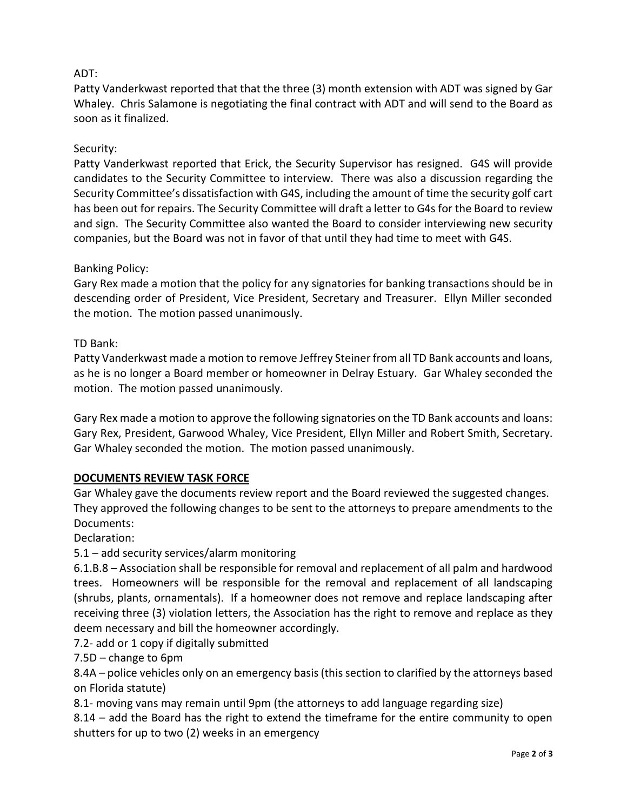# ADT:

Patty Vanderkwast reported that that the three (3) month extension with ADT was signed by Gar Whaley. Chris Salamone is negotiating the final contract with ADT and will send to the Board as soon as it finalized.

## Security:

Patty Vanderkwast reported that Erick, the Security Supervisor has resigned. G4S will provide candidates to the Security Committee to interview. There was also a discussion regarding the Security Committee's dissatisfaction with G4S, including the amount of time the security golf cart has been out for repairs. The Security Committee will draft a letter to G4s for the Board to review and sign. The Security Committee also wanted the Board to consider interviewing new security companies, but the Board was not in favor of that until they had time to meet with G4S.

## Banking Policy:

Gary Rex made a motion that the policy for any signatories for banking transactions should be in descending order of President, Vice President, Secretary and Treasurer. Ellyn Miller seconded the motion. The motion passed unanimously.

## TD Bank:

Patty Vanderkwast made a motion to remove Jeffrey Steiner from all TD Bank accounts and loans, as he is no longer a Board member or homeowner in Delray Estuary. Gar Whaley seconded the motion. The motion passed unanimously.

Gary Rex made a motion to approve the following signatories on the TD Bank accounts and loans: Gary Rex, President, Garwood Whaley, Vice President, Ellyn Miller and Robert Smith, Secretary. Gar Whaley seconded the motion. The motion passed unanimously.

## **DOCUMENTS REVIEW TASK FORCE**

Gar Whaley gave the documents review report and the Board reviewed the suggested changes. They approved the following changes to be sent to the attorneys to prepare amendments to the Documents:

Declaration:

# 5.1 – add security services/alarm monitoring

6.1.B.8 – Association shall be responsible for removal and replacement of all palm and hardwood trees. Homeowners will be responsible for the removal and replacement of all landscaping (shrubs, plants, ornamentals). If a homeowner does not remove and replace landscaping after receiving three (3) violation letters, the Association has the right to remove and replace as they deem necessary and bill the homeowner accordingly.

7.2- add or 1 copy if digitally submitted

7.5D – change to 6pm

8.4A – police vehicles only on an emergency basis (this section to clarified by the attorneys based on Florida statute)

8.1- moving vans may remain until 9pm (the attorneys to add language regarding size)

8.14 – add the Board has the right to extend the timeframe for the entire community to open shutters for up to two (2) weeks in an emergency